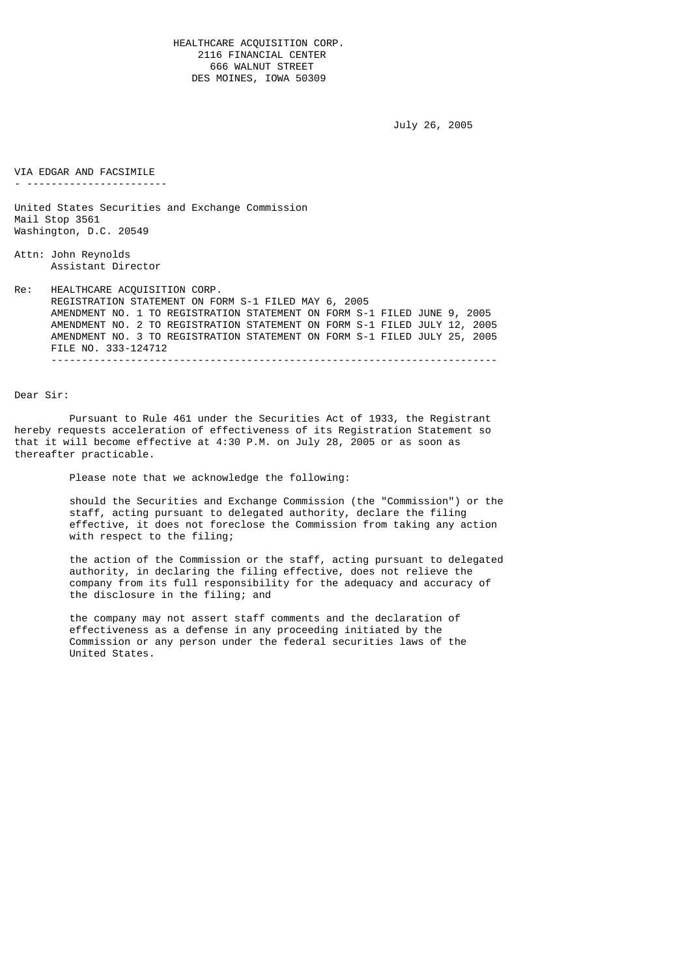HEALTHCARE ACQUISITION CORP. 2116 FINANCIAL CENTER 666 WALNUT STREET DES MOINES, IOWA 50309

```
 July 26, 2005
```
VIA EDGAR AND FACSIMILE - ----------------------- United States Securities and Exchange Commission Mail Stop 3561 Washington, D.C. 20549 Attn: John Reynolds Assistant Director Re: HEALTHCARE ACQUISITION CORP. REGISTRATION STATEMENT ON FORM S-1 FILED MAY 6, 2005 AMENDMENT NO. 1 TO REGISTRATION STATEMENT ON FORM S-1 FILED JUNE 9, 2005 AMENDMENT NO. 2 TO REGISTRATION STATEMENT ON FORM S-1 FILED JULY 12, 2005 AMENDMENT NO. 3 TO REGISTRATION STATEMENT ON FORM S-1 FILED JULY 25, 2005 FILE NO. 333-124712 -------------------------------------------------------------------------

Dear Sir:

 Pursuant to Rule 461 under the Securities Act of 1933, the Registrant hereby requests acceleration of effectiveness of its Registration Statement so that it will become effective at 4:30 P.M. on July 28, 2005 or as soon as thereafter practicable.

Please note that we acknowledge the following:

 should the Securities and Exchange Commission (the "Commission") or the staff, acting pursuant to delegated authority, declare the filing effective, it does not foreclose the Commission from taking any action with respect to the filing;

 the action of the Commission or the staff, acting pursuant to delegated authority, in declaring the filing effective, does not relieve the company from its full responsibility for the adequacy and accuracy of the disclosure in the filing; and

 the company may not assert staff comments and the declaration of effectiveness as a defense in any proceeding initiated by the Commission or any person under the federal securities laws of the United States.